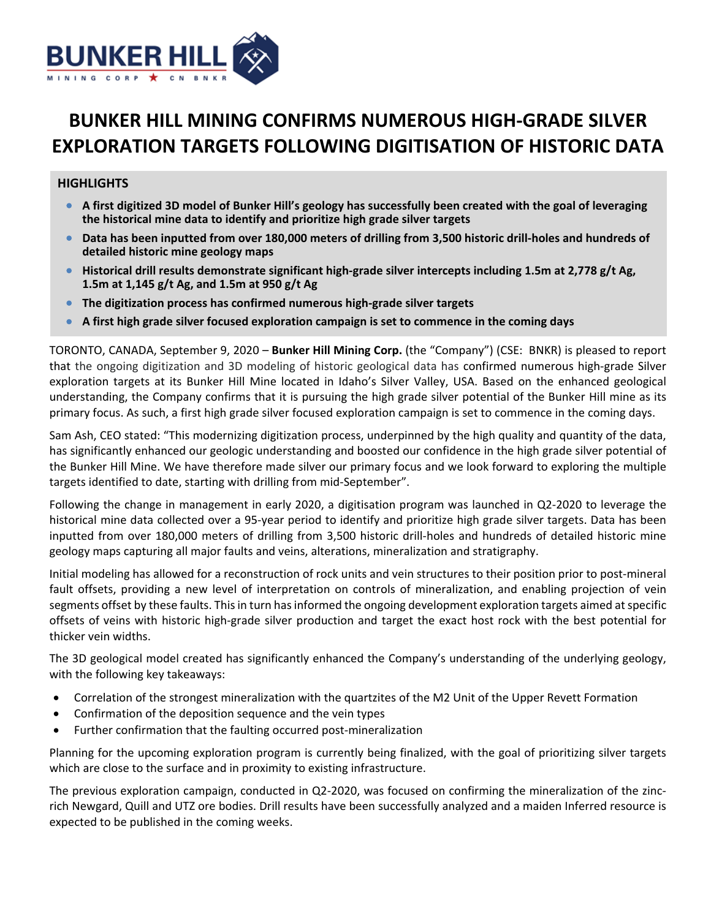

# **BUNKER HILL MINING CONFIRMS NUMEROUS HIGH‐GRADE SILVER EXPLORATION TARGETS FOLLOWING DIGITISATION OF HISTORIC DATA**

## **HIGHLIGHTS**

- **A first digitized 3D model of Bunker Hill's geology has successfully been created with the goal of leveraging the historical mine data to identify and prioritize high grade silver targets**
- Data has been inputted from over 180,000 meters of drilling from 3,500 historic drill-holes and hundreds of **detailed historic mine geology maps**
- Historical drill results demonstrate significant high-grade silver intercepts including 1.5m at 2,778 g/t Ag, **1.5m at 1,145 g/t Ag, and 1.5m at 950 g/t Ag**
- The digitization process has confirmed numerous high-grade silver targets
- **A first high grade silver focused exploration campaign is set to commence in the coming days**

TORONTO, CANADA, September 9, 2020 – **Bunker Hill Mining Corp.** (the "Company") (CSE: BNKR) is pleased to report that the ongoing digitization and 3D modeling of historic geological data has confirmed numerous high‐grade Silver exploration targets at its Bunker Hill Mine located in Idaho's Silver Valley, USA. Based on the enhanced geological understanding, the Company confirms that it is pursuing the high grade silver potential of the Bunker Hill mine as its primary focus. As such, a first high grade silver focused exploration campaign is set to commence in the coming days.

Sam Ash, CEO stated: "This modernizing digitization process, underpinned by the high quality and quantity of the data, has significantly enhanced our geologic understanding and boosted our confidence in the high grade silver potential of the Bunker Hill Mine. We have therefore made silver our primary focus and we look forward to exploring the multiple targets identified to date, starting with drilling from mid‐September".

Following the change in management in early 2020, a digitisation program was launched in Q2‐2020 to leverage the historical mine data collected over a 95‐year period to identify and prioritize high grade silver targets. Data has been inputted from over 180,000 meters of drilling from 3,500 historic drill-holes and hundreds of detailed historic mine geology maps capturing all major faults and veins, alterations, mineralization and stratigraphy.

Initial modeling has allowed for a reconstruction of rock units and vein structures to their position prior to post‐mineral fault offsets, providing a new level of interpretation on controls of mineralization, and enabling projection of vein segments offset by these faults. This in turn has informed the ongoing development exploration targets aimed at specific offsets of veins with historic high‐grade silver production and target the exact host rock with the best potential for thicker vein widths.

The 3D geological model created has significantly enhanced the Company's understanding of the underlying geology, with the following key takeaways:

- Correlation of the strongest mineralization with the quartzites of the M2 Unit of the Upper Revett Formation
- Confirmation of the deposition sequence and the vein types
- Further confirmation that the faulting occurred post-mineralization

Planning for the upcoming exploration program is currently being finalized, with the goal of prioritizing silver targets which are close to the surface and in proximity to existing infrastructure.

The previous exploration campaign, conducted in Q2-2020, was focused on confirming the mineralization of the zincrich Newgard, Quill and UTZ ore bodies. Drill results have been successfully analyzed and a maiden Inferred resource is expected to be published in the coming weeks.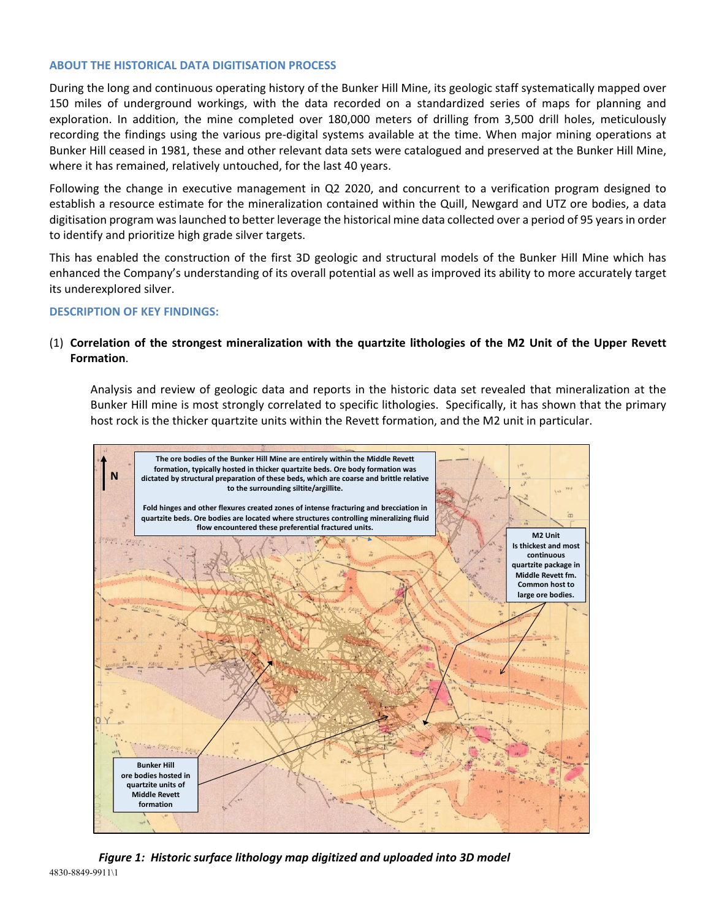#### **ABOUT THE HISTORICAL DATA DIGITISATION PROCESS**

During the long and continuous operating history of the Bunker Hill Mine, its geologic staff systematically mapped over 150 miles of underground workings, with the data recorded on a standardized series of maps for planning and exploration. In addition, the mine completed over 180,000 meters of drilling from 3,500 drill holes, meticulously recording the findings using the various pre‐digital systems available at the time. When major mining operations at Bunker Hill ceased in 1981, these and other relevant data sets were catalogued and preserved at the Bunker Hill Mine, where it has remained, relatively untouched, for the last 40 years.

Following the change in executive management in Q2 2020, and concurrent to a verification program designed to establish a resource estimate for the mineralization contained within the Quill, Newgard and UTZ ore bodies, a data digitisation program was launched to better leverage the historical mine data collected over a period of 95 years in order to identify and prioritize high grade silver targets.

This has enabled the construction of the first 3D geologic and structural models of the Bunker Hill Mine which has enhanced the Company's understanding of its overall potential as well as improved its ability to more accurately target its underexplored silver.

#### **DESCRIPTION OF KEY FINDINGS:**

## (1) **Correlation of the strongest mineralization with the quartzite lithologies of the M2 Unit of the Upper Revett Formation**.

Analysis and review of geologic data and reports in the historic data set revealed that mineralization at the Bunker Hill mine is most strongly correlated to specific lithologies. Specifically, it has shown that the primary host rock is the thicker quartzite units within the Revett formation, and the M2 unit in particular.



4830-8849-9911\1 *Figure 1: Historic surface lithology map digitized and uploaded into 3D model*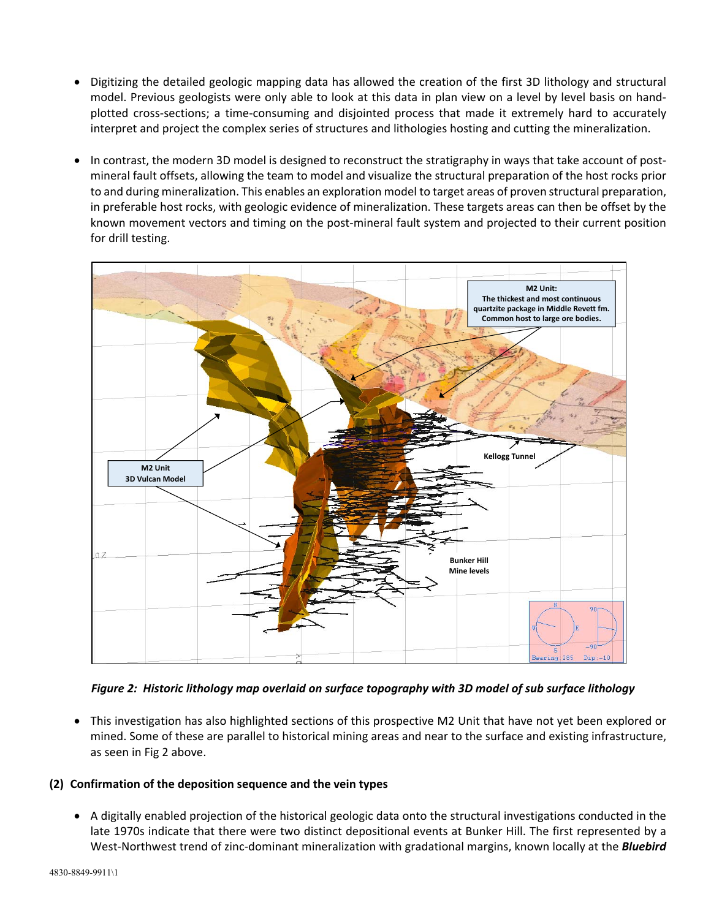- Digitizing the detailed geologic mapping data has allowed the creation of the first 3D lithology and structural model. Previous geologists were only able to look at this data in plan view on a level by level basis on hand‐ plotted cross‐sections; a time‐consuming and disjointed process that made it extremely hard to accurately interpret and project the complex series of structures and lithologies hosting and cutting the mineralization.
- In contrast, the modern 3D model is designed to reconstruct the stratigraphy in ways that take account of postmineral fault offsets, allowing the team to model and visualize the structural preparation of the host rocks prior to and during mineralization. This enables an exploration model to target areas of proven structural preparation, in preferable host rocks, with geologic evidence of mineralization. These targets areas can then be offset by the known movement vectors and timing on the post‐mineral fault system and projected to their current position for drill testing.



*Figure 2: Historic lithology map overlaid on surface topography with 3D model of sub surface lithology* 

 This investigation has also highlighted sections of this prospective M2 Unit that have not yet been explored or mined. Some of these are parallel to historical mining areas and near to the surface and existing infrastructure, as seen in Fig 2 above.

## **(2) Confirmation of the deposition sequence and the vein types**

 A digitally enabled projection of the historical geologic data onto the structural investigations conducted in the late 1970s indicate that there were two distinct depositional events at Bunker Hill. The first represented by a West-Northwest trend of zinc-dominant mineralization with gradational margins, known locally at the **Bluebird**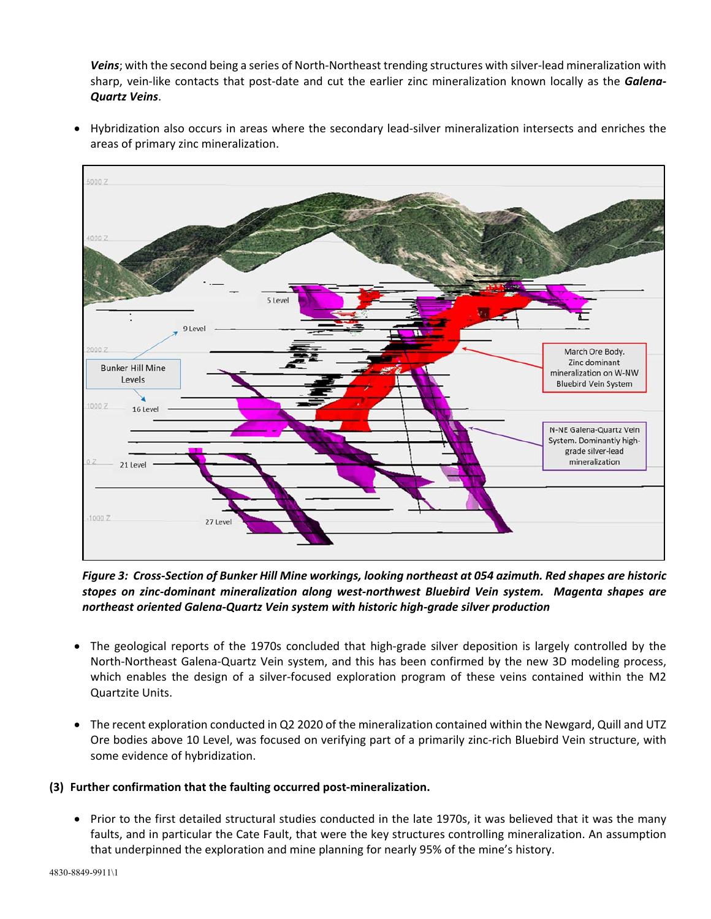*Veins*; with the second being a series of North‐Northeast trending structures with silver‐lead mineralization with sharp, vein‐like contacts that post‐date and cut the earlier zinc mineralization known locally as the *Galena‐ Quartz Veins*.

 Hybridization also occurs in areas where the secondary lead‐silver mineralization intersects and enriches the areas of primary zinc mineralization.



*Figure 3: Cross‐Section of Bunker Hill Mine workings, looking northeast at 054 azimuth. Red shapes are historic stopes on zinc‐dominant mineralization along west‐northwest Bluebird Vein system. Magenta shapes are northeast oriented Galena‐Quartz Vein system with historic high‐grade silver production* 

- The geological reports of the 1970s concluded that high-grade silver deposition is largely controlled by the North‐Northeast Galena‐Quartz Vein system, and this has been confirmed by the new 3D modeling process, which enables the design of a silver-focused exploration program of these veins contained within the M2 Quartzite Units.
- The recent exploration conducted in Q2 2020 of the mineralization contained within the Newgard, Quill and UTZ Ore bodies above 10 Level, was focused on verifying part of a primarily zinc‐rich Bluebird Vein structure, with some evidence of hybridization.

## **(3) Further confirmation that the faulting occurred post‐mineralization.**

 Prior to the first detailed structural studies conducted in the late 1970s, it was believed that it was the many faults, and in particular the Cate Fault, that were the key structures controlling mineralization. An assumption that underpinned the exploration and mine planning for nearly 95% of the mine's history.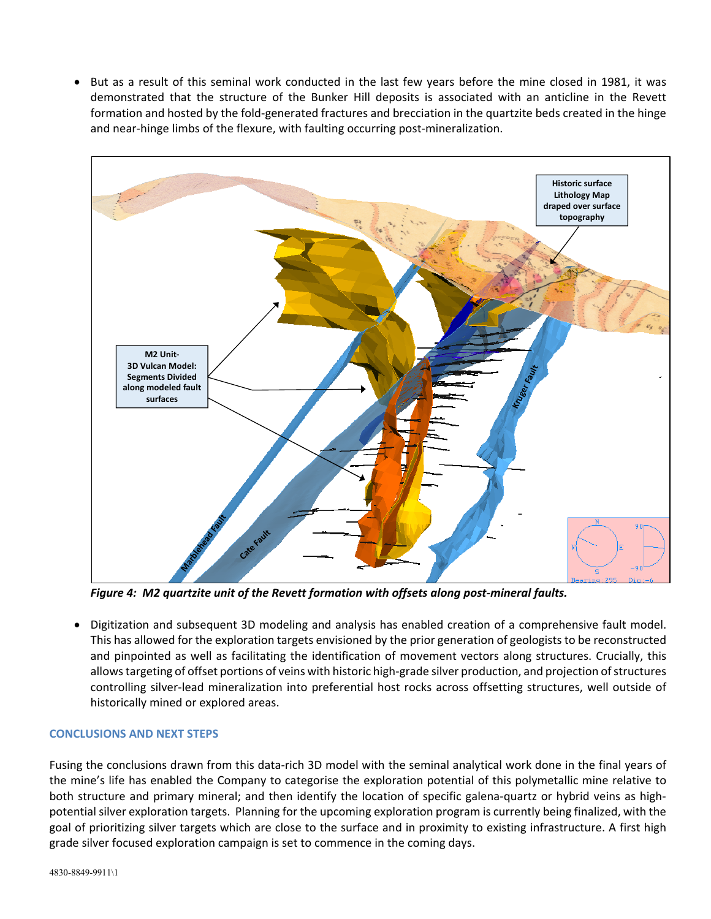But as a result of this seminal work conducted in the last few years before the mine closed in 1981, it was demonstrated that the structure of the Bunker Hill deposits is associated with an anticline in the Revett formation and hosted by the fold‐generated fractures and brecciation in the quartzite beds created in the hinge and near-hinge limbs of the flexure, with faulting occurring post-mineralization.



*Figure 4: M2 quartzite unit of the Revett formation with offsets along post‐mineral faults.*

 Digitization and subsequent 3D modeling and analysis has enabled creation of a comprehensive fault model. This has allowed for the exploration targets envisioned by the prior generation of geologists to be reconstructed and pinpointed as well as facilitating the identification of movement vectors along structures. Crucially, this allows targeting of offset portions of veins with historic high‐grade silver production, and projection of structures controlling silver-lead mineralization into preferential host rocks across offsetting structures, well outside of historically mined or explored areas.

## **CONCLUSIONS AND NEXT STEPS**

Fusing the conclusions drawn from this data‐rich 3D model with the seminal analytical work done in the final years of the mine's life has enabled the Company to categorise the exploration potential of this polymetallic mine relative to both structure and primary mineral; and then identify the location of specific galena-quartz or hybrid veins as highpotential silver exploration targets. Planning for the upcoming exploration program is currently being finalized, with the goal of prioritizing silver targets which are close to the surface and in proximity to existing infrastructure. A first high grade silver focused exploration campaign is set to commence in the coming days.